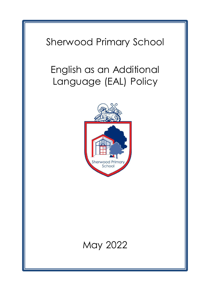# Sherwood Primary School

# English as an Additional Language (EAL) Policy



# May 2022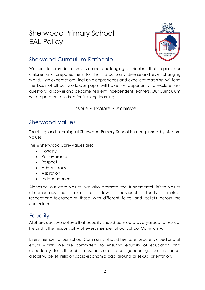# Sherwood Primary School EAL Policy



# Sherwood Curriculum Rationale

We aim to provide a creative and challenging curriculum that inspires our children and prepares them for life in a culturally diverse and ever-changing world. High expectations, inclusive approaches and excellent teaching will form the basis of all our work. Our pupils will have the opportunity to explore, ask questions, discover and become resilient, independent learners. Our Curriculum will prepare our children for life-long learning.

#### Inspire • Explore • Achieve

# Sherwood Values

Teaching and Learning at Sherwood Primary School is underpinned by six core values.

The 6 Sherwood Core-Values are:

- Honesty
- Perseverance
- Respect
- Adventurous
- Aspiration
- Independence

Alongside our core values, we also promote the fundamental British values of democracy, the rule of law, individual liberty, mutual respect and tolerance of those with different faiths and beliefs across the curriculum.

# **Equality**

At Sherwood, we believe that equality should permeate every aspect of School life and is the responsibility of every member of our School Community.

Every member of our School Community should feel safe, secure, valued and of equal worth. We are committed to ensuring equality of education and opportunity for all pupils; irrespective of race, gender, gender variance, disability, belief, religion socio-economic background or sexual orientation.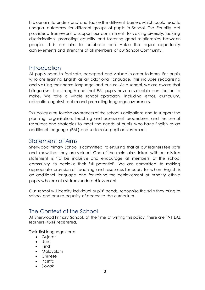It is our aim to understand and tackle the different barriers which could lead to unequal outcomes for different groups of pupils in School. The Equality Act provides a framework to support our commitment to valuing diversity, tackling discrimination, promoting equality and fostering good relationships between people. It is our aim to celebrate and value the equal opportunity achievements and strengths of all members of our School Community.

#### **Introduction**

All pupils need to feel safe, accepted and valued in order to learn. For pupils who are learning English as an additional language, this includes recognising and valuing their home language and culture. As a school, we are aware that bilingualism is a strength and that EAL pupils have a valuable contribution to make. We take a whole school approach, including ethos, curriculum, education against racism and promoting language awareness.

This policy aims to raise awareness of the school's obligations and to support the planning, organisation, teaching and assessment procedures, and the use of resources and strategies to meet the needs of pupils who have English as an additional language (EAL) and so to raise pupil achievement.

#### Statement of Aims

Sherwood Primary School is committed to ensuring that all our learners feel safe and know that they are valued. One of the main aims linked with our mission statement is 'To be inclusive and encourage all members of the school community to achieve their full potential'. We are committed to making appropriate provision of teaching and resources for pupils for whom English is an additional language and for raising the achievement of minority ethnic pupils who are at risk from underachievement.

Our school will identify individual pupils' needs, recognise the skills they bring to school and ensure equality of access to the curriculum.

### The Context of the School

At Sherwood Primary School, at the time of writing this policy, there are 191 EAL learners (45%) registered.

Their first languages are:

- Gujarati
- Urdu
- Hindi
- Malayalam
- Chinese
- Pashto
- Slovak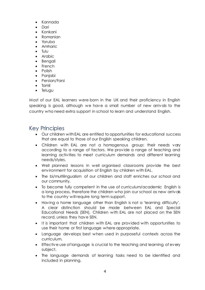- Kannada
- Dari
- Konkani
- Romanian
- Yoruba
- Amharic
- Tulu
- Arabic
- Bengali
- French
- Polish
- Panjabi
- Persian/Farsi
- Tamil
- Telugu

Most of our EAL learners were born in the UK and their proficiency in English speaking is good, although we have a small number of new arrivals to the country who need extra support in school to learn and understand English.

#### Key Principles

- Our children with EAL are entitled to opportunities for educational success that are equal to those of our English speaking children.
- Children with EAL are not a homogenous group: their needs vary according to a range of factors. We provide a range of teaching and learning activities to meet curriculum demands and different learning needs/styles.
- Well planned lessons in well organised classrooms provide the best environment for acquisition of English by children with EAL.
- The bi/multilingualism of our children and staff enriches our school and our community.
- To become fully competent in the use of curriculum/academic English is a long process, therefore the children who join our school as new arrivals to the country will require long term support.
- Having a home language other than English is not a 'learning difficulty'. A clear distinction should be made between EAL and Special Educational Needs (SEN). Children with EAL are not placed on the SEN record, unless they have SEN.
- It is important that children with EAL are provided with opportunities to use their home or first language where appropriate.
- Language develops best when used in purposeful contexts across the curriculum.
- Effective use of language is crucial to the teaching and learning of every subject.
- The language demands of learning tasks need to be identified and included in planning.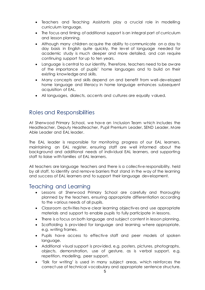- Teachers and Teaching Assistants play a crucial role in modelling curriculum language.
- The focus and timing of additional support is an integral part of curriculum and lesson planning.
- Although many children acquire the ability to communicate on a day to day basis in English quite quickly, the level of language needed for academic study is much deeper and more detailed, and can require continuing support for up to ten years.
- Language is central to our identity. Therefore, teachers need to be aware of the importance of pupils' home languages and to build on their existing knowledge and skills.
- Many concepts and skills depend on and benefit from well-developed home language and literacy in home language enhances subsequent acquisition of EAL.
- All languages, dialects, accents and cultures are equally valued.

#### Roles and Responsibilities

At Sherwood Primary School, we have an Inclusion Team which includes the Headteacher, Deputy Headteacher, Pupil Premium Leader, SEND Leader, More Able Leader and EAL leader.

The EAL leader is responsible for monitoring progress of our EAL learners, maintaining an EAL register, ensuring staff are well informed about the background and additional needs of individual EAL learners, and supporting staff to liaise with families of EAL learners.

All teachers are language teachers and there is a collective responsibility, held by all staff, to identify and remove barriers that stand in the way of the learning and success of EAL learners and to support their language development.

#### Teaching and Learning

- Lessons at Sherwood Primary School are carefully and thoroughly planned by the teachers, ensuring appropriate differentiation according to the various needs of all pupils.
- Classroom activities have clear learning objectives and use appropriate materials and support to enable pupils to fully participate in lessons.
- There is a focus on both language and subject content in lesson planning.
- Scaffolding is provided for language and learning where appropriate, e.g. writing frames.
- Pupils have access to effective staff and peer models of spoken language.
- Additional visual support is provided, e.g. posters, pictures, photographs, objects, demonstration, use of gesture, as is verbal support, e.g. repetition, modelling, peer support.
- 'Talk for writing' is used in many subject areas, which reinforces the correct use of technical vocabulary and appropriate sentence structure.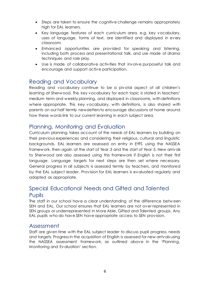- Steps are taken to ensure the cognitive challenge remains appropriately high for EAL learners.
- Key language features of each curriculum area, e.g. key vocabulary, uses of language, forms of text, are identified and displayed in every classroom.
- Enhanced opportunities are provided for speaking and listening, including both process and presentational talk, and use made of drama techniques and role play.
- Use is made of collaborative activities that involve purposeful talk and encourage and support active participation.

#### Reading and Vocabulary

Reading and vocabulary continue to be a pivotal aspect of all children's learning at Sherwood. The key vocabulary for each topic is stated in teachers' medium term and weekly planning, and displayed in classrooms, with definitions where appropriate. This key vocabulary, with definitions, is also shared with parents on our half termly newsletters to encourage discussions at home around how these words link to our current learning in each subject area.

#### Planning, Monitoring and Evaluation

Curriculum planning takes account of the needs of EAL learners by building on their previous experiences and considering their religious, cultural and linguistic backgrounds. EAL learners are assessed on entry in EYFS using the NASSEA framework, then again at the start of Year 3 and the start of Year 5. New arrivals to Sherwood are also assessed using this framework if English is not their first language. Language targets for next steps are then set where necessary. General progress in all subjects is assessed termly by teachers, and monitored by the EAL subject leader. Provision for EAL learners is evaluated regularly and adapted as appropriate.

## Special Educational Needs and Gifted and Talented Pupils

The staff in our school have a clear understanding of the difference betw een SEN and EAL. Our school ensures that EAL learners are not over represented in SEN groups or underrepresented in More Able, Gifted and Talented groups. Any EAL pupils who do have SEN have appropriate access to SEN provision.

#### Assessment

Staff are given time with the EAL subject leader to discuss pupil progress, needs and targets. Progress in the acquisition of English is assessed for new arrivals using the NASSEA assessment framework, as outlined above in the 'Planning, Monitoring and Evaluation' section.